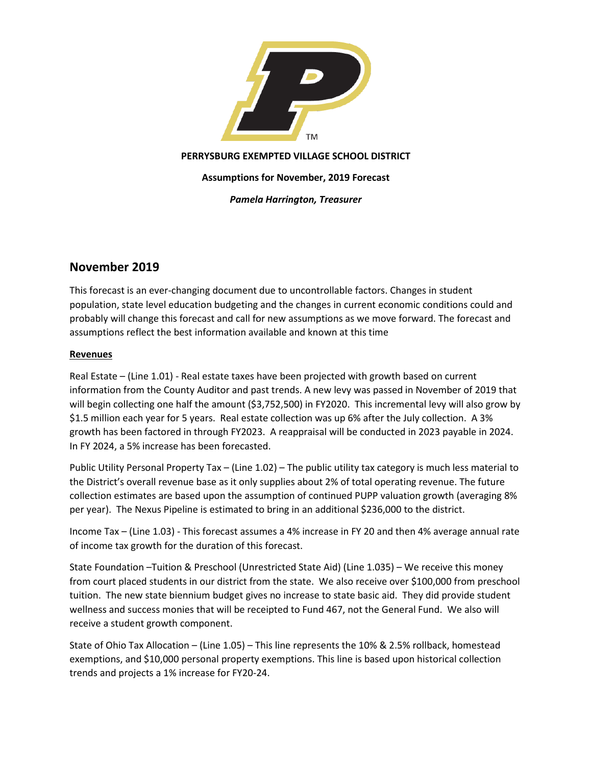

## **PERRYSBURG EXEMPTED VILLAGE SCHOOL DISTRICT**

**Assumptions for November, 2019 Forecast**

*Pamela Harrington, Treasurer*

## **November 2019**

This forecast is an ever-changing document due to uncontrollable factors. Changes in student population, state level education budgeting and the changes in current economic conditions could and probably will change this forecast and call for new assumptions as we move forward. The forecast and assumptions reflect the best information available and known at this time

## **Revenues**

Real Estate – (Line 1.01) - Real estate taxes have been projected with growth based on current information from the County Auditor and past trends. A new levy was passed in November of 2019 that will begin collecting one half the amount (\$3,752,500) in FY2020. This incremental levy will also grow by \$1.5 million each year for 5 years. Real estate collection was up 6% after the July collection. A 3% growth has been factored in through FY2023. A reappraisal will be conducted in 2023 payable in 2024. In FY 2024, a 5% increase has been forecasted.

Public Utility Personal Property Tax – (Line 1.02) – The public utility tax category is much less material to the District's overall revenue base as it only supplies about 2% of total operating revenue. The future collection estimates are based upon the assumption of continued PUPP valuation growth (averaging 8% per year). The Nexus Pipeline is estimated to bring in an additional \$236,000 to the district.

Income Tax – (Line 1.03) - This forecast assumes a 4% increase in FY 20 and then 4% average annual rate of income tax growth for the duration of this forecast.

State Foundation –Tuition & Preschool (Unrestricted State Aid) (Line 1.035) – We receive this money from court placed students in our district from the state. We also receive over \$100,000 from preschool tuition. The new state biennium budget gives no increase to state basic aid. They did provide student wellness and success monies that will be receipted to Fund 467, not the General Fund. We also will receive a student growth component.

State of Ohio Tax Allocation – (Line 1.05) – This line represents the 10% & 2.5% rollback, homestead exemptions, and \$10,000 personal property exemptions. This line is based upon historical collection trends and projects a 1% increase for FY20-24.